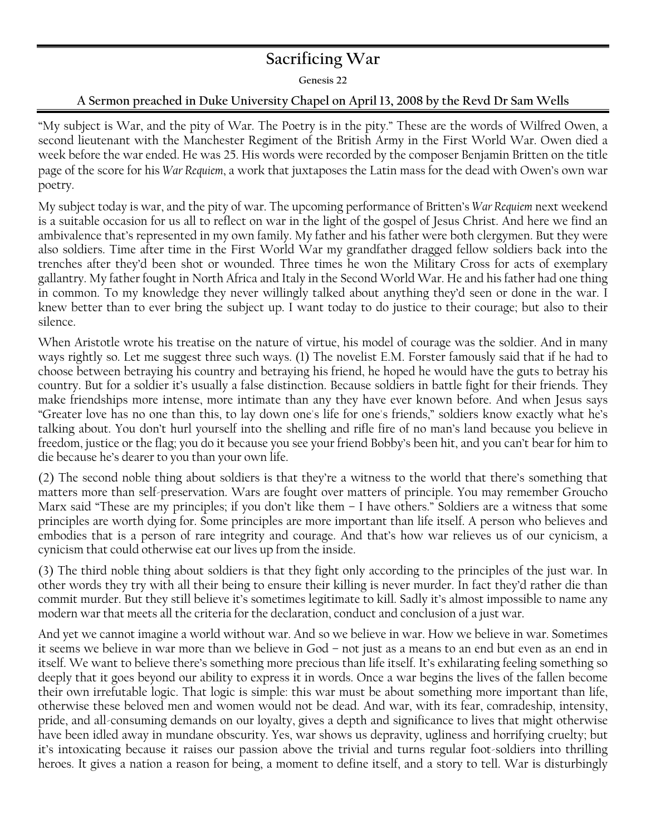## **Sacrificing War**

**Genesis 22**

## **A Sermon preached in Duke University Chapel on April 13, 2008 by the Revd Dr Sam Wells**

"My subject is War, and the pity of War. The Poetry is in the pity." These are the words of Wilfred Owen, a second lieutenant with the Manchester Regiment of the British Army in the First World War. Owen died a week before the war ended. He was 25. His words were recorded by the composer Benjamin Britten on the title page of the score for his *War Requiem*, a work that juxtaposes the Latin mass for the dead with Owen's own war poetry.

My subject today is war, and the pity of war. The upcoming performance of Britten's *War Requiem* next weekend is a suitable occasion for us all to reflect on war in the light of the gospel of Jesus Christ. And here we find an ambivalence that's represented in my own family. My father and his father were both clergymen. But they were also soldiers. Time after time in the First World War my grandfather dragged fellow soldiers back into the trenches after they'd been shot or wounded. Three times he won the Military Cross for acts of exemplary gallantry. My father fought in North Africa and Italy in the Second World War. He and his father had one thing in common. To my knowledge they never willingly talked about anything they'd seen or done in the war. I knew better than to ever bring the subject up. I want today to do justice to their courage; but also to their silence.

When Aristotle wrote his treatise on the nature of virtue, his model of courage was the soldier. And in many ways rightly so. Let me suggest three such ways. (1) The novelist E.M. Forster famously said that if he had to choose between betraying his country and betraying his friend, he hoped he would have the guts to betray his country. But for a soldier it's usually a false distinction. Because soldiers in battle fight for their friends. They make friendships more intense, more intimate than any they have ever known before. And when Jesus says "Greater love has no one than this, to lay down one's life for one's friends," soldiers know exactly what he's talking about. You don't hurl yourself into the shelling and rifle fire of no man's land because you believe in freedom, justice or the flag; you do it because you see your friend Bobby's been hit, and you can't bear for him to die because he's dearer to you than your own life.

(2) The second noble thing about soldiers is that they're a witness to the world that there's something that matters more than self-preservation. Wars are fought over matters of principle. You may remember Groucho Marx said "These are my principles; if you don't like them – I have others." Soldiers are a witness that some principles are worth dying for. Some principles are more important than life itself. A person who believes and embodies that is a person of rare integrity and courage. And that's how war relieves us of our cynicism, a cynicism that could otherwise eat our lives up from the inside.

(3) The third noble thing about soldiers is that they fight only according to the principles of the just war. In other words they try with all their being to ensure their killing is never murder. In fact they'd rather die than commit murder. But they still believe it's sometimes legitimate to kill. Sadly it's almost impossible to name any modern war that meets all the criteria for the declaration, conduct and conclusion of a just war.

And yet we cannot imagine a world without war. And so we believe in war. How we believe in war. Sometimes it seems we believe in war more than we believe in God – not just as a means to an end but even as an end in itself. We want to believe there's something more precious than life itself. It's exhilarating feeling something so deeply that it goes beyond our ability to express it in words. Once a war begins the lives of the fallen become their own irrefutable logic. That logic is simple: this war must be about something more important than life, otherwise these beloved men and women would not be dead. And war, with its fear, comradeship, intensity, pride, and all-consuming demands on our loyalty, gives a depth and significance to lives that might otherwise have been idled away in mundane obscurity. Yes, war shows us depravity, ugliness and horrifying cruelty; but it's intoxicating because it raises our passion above the trivial and turns regular foot-soldiers into thrilling heroes. It gives a nation a reason for being, a moment to define itself, and a story to tell. War is disturbingly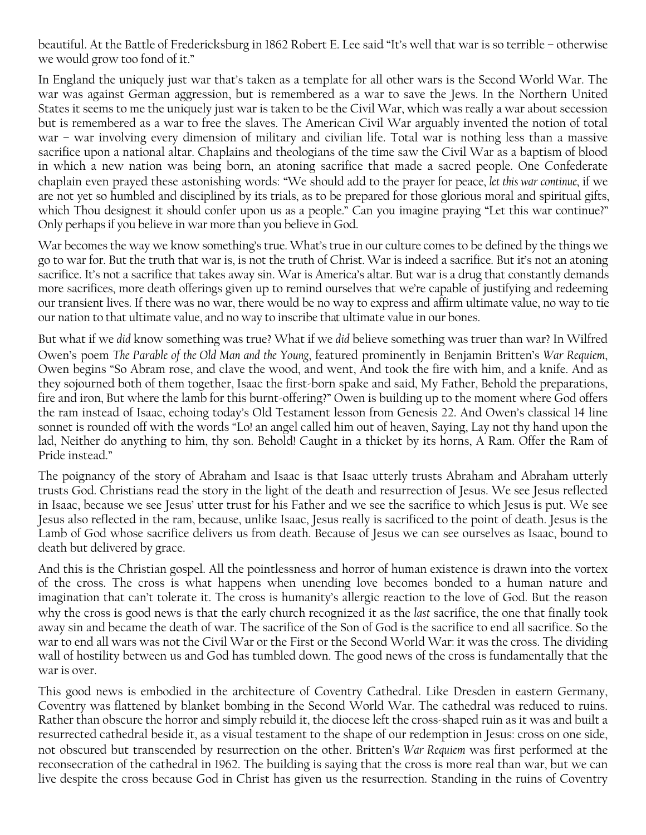beautiful. At the Battle of Fredericksburg in 1862 Robert E. Lee said "It's well that war is so terrible – otherwise we would grow too fond of it."

In England the uniquely just war that's taken as a template for all other wars is the Second World War. The war was against German aggression, but is remembered as a war to save the Jews. In the Northern United States it seems to me the uniquely just war is taken to be the Civil War, which was really a war about secession but is remembered as a war to free the slaves. The American Civil War arguably invented the notion of total war – war involving every dimension of military and civilian life. Total war is nothing less than a massive sacrifice upon a national altar. Chaplains and theologians of the time saw the Civil War as a baptism of blood in which a new nation was being born, an atoning sacrifice that made a sacred people. One Confederate chaplain even prayed these astonishing words: "We should add to the prayer for peace, *let this war continue*, if we are not yet so humbled and disciplined by its trials, as to be prepared for those glorious moral and spiritual gifts, which Thou designest it should confer upon us as a people." Can you imagine praying "Let this war continue?" Only perhaps if you believe in war more than you believe in God.

War becomes the way we know something's true. What's true in our culture comes to be defined by the things we go to war for. But the truth that war is, is not the truth of Christ. War is indeed a sacrifice. But it's not an atoning sacrifice. It's not a sacrifice that takes away sin. War is America's altar. But war is a drug that constantly demands more sacrifices, more death offerings given up to remind ourselves that we're capable of justifying and redeeming our transient lives. If there was no war, there would be no way to express and affirm ultimate value, no way to tie our nation to that ultimate value, and no way to inscribe that ultimate value in our bones.

But what if we *did* know something was true? What if we *did* believe something was truer than war? In Wilfred Owen's poem *The Parable of the Old Man and the Young*, featured prominently in Benjamin Britten's *War Requiem*, Owen begins "So Abram rose, and clave the wood, and went, And took the fire with him, and a knife. And as they sojourned both of them together, Isaac the first-born spake and said, My Father, Behold the preparations, fire and iron, But where the lamb for this burnt-offering?" Owen is building up to the moment where God offers the ram instead of Isaac, echoing today's Old Testament lesson from Genesis 22. And Owen's classical 14 line sonnet is rounded off with the words "Lo! an angel called him out of heaven, Saying, Lay not thy hand upon the lad, Neither do anything to him, thy son. Behold! Caught in a thicket by its horns, A Ram. Offer the Ram of Pride instead."

The poignancy of the story of Abraham and Isaac is that Isaac utterly trusts Abraham and Abraham utterly trusts God. Christians read the story in the light of the death and resurrection of Jesus. We see Jesus reflected in Isaac, because we see Jesus' utter trust for his Father and we see the sacrifice to which Jesus is put. We see Jesus also reflected in the ram, because, unlike Isaac, Jesus really is sacrificed to the point of death. Jesus is the Lamb of God whose sacrifice delivers us from death. Because of Jesus we can see ourselves as Isaac, bound to death but delivered by grace.

And this is the Christian gospel. All the pointlessness and horror of human existence is drawn into the vortex of the cross. The cross is what happens when unending love becomes bonded to a human nature and imagination that can't tolerate it. The cross is humanity's allergic reaction to the love of God. But the reason why the cross is good news is that the early church recognized it as the *last* sacrifice, the one that finally took away sin and became the death of war. The sacrifice of the Son of God is the sacrifice to end all sacrifice. So the war to end all wars was not the Civil War or the First or the Second World War: it was the cross. The dividing wall of hostility between us and God has tumbled down. The good news of the cross is fundamentally that the war is over.

This good news is embodied in the architecture of Coventry Cathedral. Like Dresden in eastern Germany, Coventry was flattened by blanket bombing in the Second World War. The cathedral was reduced to ruins. Rather than obscure the horror and simply rebuild it, the diocese left the cross-shaped ruin as it was and built a resurrected cathedral beside it, as a visual testament to the shape of our redemption in Jesus: cross on one side, not obscured but transcended by resurrection on the other. Britten's *War Requiem* was first performed at the reconsecration of the cathedral in 1962. The building is saying that the cross is more real than war, but we can live despite the cross because God in Christ has given us the resurrection. Standing in the ruins of Coventry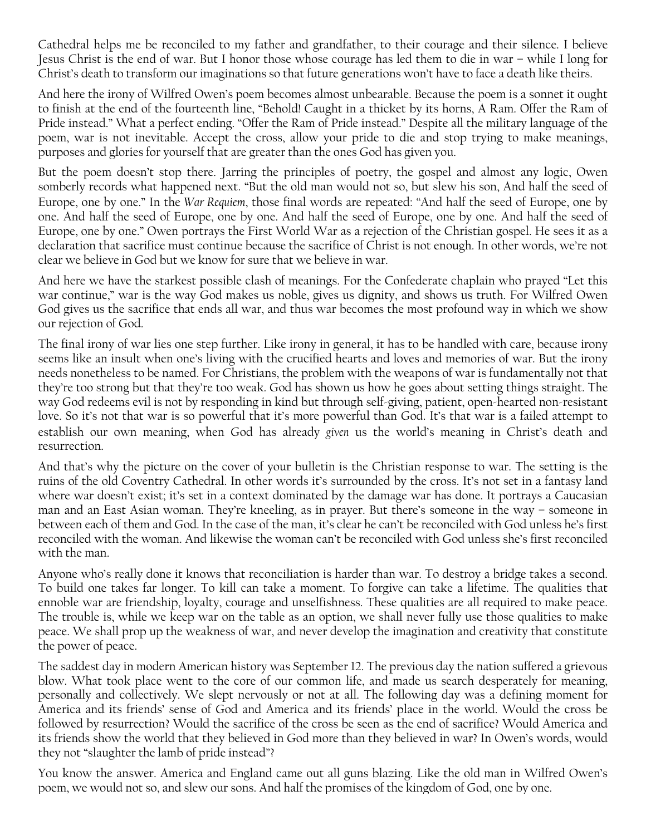Cathedral helps me be reconciled to my father and grandfather, to their courage and their silence. I believe Jesus Christ is the end of war. But I honor those whose courage has led them to die in war – while I long for Christ's death to transform our imaginations so that future generations won't have to face a death like theirs.

And here the irony of Wilfred Owen's poem becomes almost unbearable. Because the poem is a sonnet it ought to finish at the end of the fourteenth line, "Behold! Caught in a thicket by its horns, A Ram. Offer the Ram of Pride instead." What a perfect ending. "Offer the Ram of Pride instead." Despite all the military language of the poem, war is not inevitable. Accept the cross, allow your pride to die and stop trying to make meanings, purposes and glories for yourself that are greater than the ones God has given you.

But the poem doesn't stop there. Jarring the principles of poetry, the gospel and almost any logic, Owen somberly records what happened next. "But the old man would not so, but slew his son, And half the seed of Europe, one by one." In the *War Requiem*, those final words are repeated: "And half the seed of Europe, one by one. And half the seed of Europe, one by one. And half the seed of Europe, one by one. And half the seed of Europe, one by one." Owen portrays the First World War as a rejection of the Christian gospel. He sees it as a declaration that sacrifice must continue because the sacrifice of Christ is not enough. In other words, we're not clear we believe in God but we know for sure that we believe in war.

And here we have the starkest possible clash of meanings. For the Confederate chaplain who prayed "Let this war continue," war is the way God makes us noble, gives us dignity, and shows us truth. For Wilfred Owen God gives us the sacrifice that ends all war, and thus war becomes the most profound way in which we show our rejection of God.

The final irony of war lies one step further. Like irony in general, it has to be handled with care, because irony seems like an insult when one's living with the crucified hearts and loves and memories of war. But the irony needs nonetheless to be named. For Christians, the problem with the weapons of war is fundamentally not that they're too strong but that they're too weak. God has shown us how he goes about setting things straight. The way God redeems evil is not by responding in kind but through self-giving, patient, open-hearted non-resistant love. So it's not that war is so powerful that it's more powerful than God. It's that war is a failed attempt to establish our own meaning, when God has already *given* us the world's meaning in Christ's death and resurrection.

And that's why the picture on the cover of your bulletin is the Christian response to war. The setting is the ruins of the old Coventry Cathedral. In other words it's surrounded by the cross. It's not set in a fantasy land where war doesn't exist; it's set in a context dominated by the damage war has done. It portrays a Caucasian man and an East Asian woman. They're kneeling, as in prayer. But there's someone in the way – someone in between each of them and God. In the case of the man, it's clear he can't be reconciled with God unless he's first reconciled with the woman. And likewise the woman can't be reconciled with God unless she's first reconciled with the man.

Anyone who's really done it knows that reconciliation is harder than war. To destroy a bridge takes a second. To build one takes far longer. To kill can take a moment. To forgive can take a lifetime. The qualities that ennoble war are friendship, loyalty, courage and unselfishness. These qualities are all required to make peace. The trouble is, while we keep war on the table as an option, we shall never fully use those qualities to make peace. We shall prop up the weakness of war, and never develop the imagination and creativity that constitute the power of peace.

The saddest day in modern American history was September 12. The previous day the nation suffered a grievous blow. What took place went to the core of our common life, and made us search desperately for meaning, personally and collectively. We slept nervously or not at all. The following day was a defining moment for America and its friends' sense of God and America and its friends' place in the world. Would the cross be followed by resurrection? Would the sacrifice of the cross be seen as the end of sacrifice? Would America and its friends show the world that they believed in God more than they believed in war? In Owen's words, would they not "slaughter the lamb of pride instead"?

You know the answer. America and England came out all guns blazing. Like the old man in Wilfred Owen's poem, we would not so, and slew our sons. And half the promises of the kingdom of God, one by one.